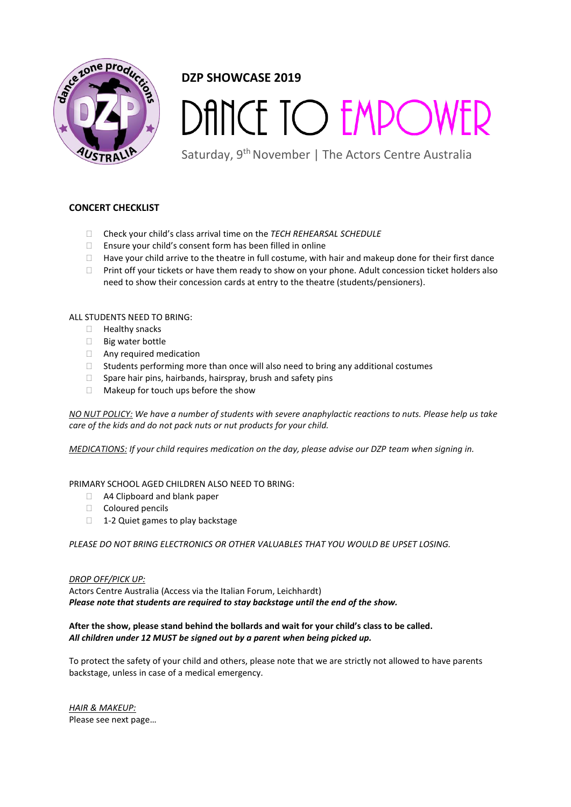

# DANCE TO EMPOWER

Saturday, 9<sup>th</sup> November | The Actors Centre Australia

#### **CONCERT CHECKLIST**

- Check your child's class arrival time on the *TECH REHEARSAL SCHEDULE*
- Ensure your child's consent form has been filled in online
- $\Box$  Have your child arrive to the theatre in full costume, with hair and makeup done for their first dance
- $\Box$  Print off your tickets or have them ready to show on your phone. Adult concession ticket holders also need to show their concession cards at entry to the theatre (students/pensioners).

#### ALL STUDENTS NEED TO BRING:

- **Healthy snacks**
- $\Box$  Big water bottle
- □ Any required medication
- $\Box$  Students performing more than once will also need to bring any additional costumes
- $\Box$  Spare hair pins, hairbands, hairspray, brush and safety pins
- $\Box$  Makeup for touch ups before the show

*NO NUT POLICY: We have a number of students with severe anaphylactic reactions to nuts. Please help us take care of the kids and do not pack nuts or nut products for your child.*

*MEDICATIONS: If your child requires medication on the day, please advise our DZP team when signing in.*

#### PRIMARY SCHOOL AGED CHILDREN ALSO NEED TO BRING:

- □ A4 Clipboard and blank paper
- □ Coloured pencils
- □ 1-2 Quiet games to play backstage

*PLEASE DO NOT BRING ELECTRONICS OR OTHER VALUABLES THAT YOU WOULD BE UPSET LOSING.*

#### *DROP OFF/PICK UP:*

Actors Centre Australia (Access via the Italian Forum, Leichhardt) *Please note that students are required to stay backstage until the end of the show.*

#### **After the show, please stand behind the bollards and wait for your child's class to be called.**  *All children under 12 MUST be signed out by a parent when being picked up.*

To protect the safety of your child and others, please note that we are strictly not allowed to have parents backstage, unless in case of a medical emergency.

*HAIR & MAKEUP:* Please see next page…